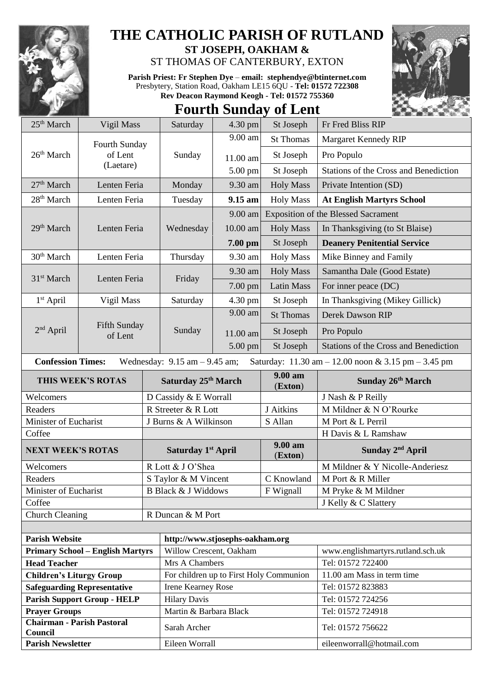

## **THE CATHOLIC PARISH OF RUTLAND**

**ST JOSEPH, OAKHAM &**  ST THOMAS OF CANTERBURY, EXTON

**Parish Priest: Fr Stephen Dye** – **[email: stephendye@btinternet.com](mailto:email:%20%20stephendye@btinternet.com)** Presbytery, Station Road, Oakham LE15 6QU - **Tel: 01572 722308 Rev Deacon Raymond Keogh - Tel: 01572 755360**



## **Fourth Sunday of Lent**

| 25 <sup>th</sup> March                       | Vigil Mass                              |                       | Saturday                          | $4.30$ pm | St Joseph                               | Fr Fred Bliss RIP                                   |  |
|----------------------------------------------|-----------------------------------------|-----------------------|-----------------------------------|-----------|-----------------------------------------|-----------------------------------------------------|--|
|                                              | Fourth Sunday                           |                       |                                   | 9.00 am   | <b>St Thomas</b>                        | Margaret Kennedy RIP                                |  |
| 26 <sup>th</sup> March                       | of Lent                                 |                       | Sunday                            | 11.00 am  | St Joseph                               | Pro Populo                                          |  |
|                                              | (Laetare)                               |                       |                                   | 5.00 pm   | St Joseph                               | Stations of the Cross and Benediction               |  |
| 27 <sup>th</sup> March                       | Lenten Feria                            |                       | Monday                            | 9.30 am   | <b>Holy Mass</b>                        | Private Intention (SD)                              |  |
| 28 <sup>th</sup> March                       | Lenten Feria                            |                       | Tuesday                           | 9.15 am   | <b>Holy Mass</b>                        | <b>At English Martyrs School</b>                    |  |
|                                              |                                         |                       |                                   | 9.00 am   |                                         | <b>Exposition of the Blessed Sacrament</b>          |  |
| 29 <sup>th</sup> March                       | Lenten Feria                            |                       | Wednesday                         | 10.00 am  | <b>Holy Mass</b>                        | In Thanksgiving (to St Blaise)                      |  |
|                                              |                                         |                       |                                   | 7.00 pm   | St Joseph                               | <b>Deanery Penitential Service</b>                  |  |
| 30 <sup>th</sup> March                       | Lenten Feria                            |                       | Thursday                          | 9.30 am   | <b>Holy Mass</b>                        | Mike Binney and Family                              |  |
|                                              |                                         |                       | Friday                            | 9.30 am   | <b>Holy Mass</b>                        | Samantha Dale (Good Estate)                         |  |
| 31 <sup>st</sup> March                       | Lenten Feria                            |                       |                                   | 7.00 pm   | <b>Latin Mass</b>                       | For inner peace (DC)                                |  |
| $1st$ April                                  | Vigil Mass                              |                       | Saturday                          | 4.30 pm   | St Joseph                               | In Thanksgiving (Mikey Gillick)                     |  |
|                                              |                                         |                       |                                   | 9.00 am   | <b>St Thomas</b>                        | Derek Dawson RIP                                    |  |
| $2nd$ April                                  | Fifth Sunday<br>of Lent                 |                       | Sunday                            | 11.00 am  | St Joseph                               | Pro Populo                                          |  |
|                                              |                                         |                       |                                   | 5.00 pm   | St Joseph                               | Stations of the Cross and Benediction               |  |
| <b>Confession Times:</b>                     |                                         |                       | Wednesday: $9.15$ am $- 9.45$ am; |           |                                         | Saturday: 11.30 am - 12.00 noon & 3.15 pm - 3.45 pm |  |
|                                              | THIS WEEK'S ROTAS                       |                       | Saturday 25th March               |           | 9.00 am<br>(Exton)                      | Sunday 26th March                                   |  |
| Welcomers                                    |                                         | D Cassidy & E Worrall |                                   |           |                                         | J Nash & P Reilly                                   |  |
| Readers                                      |                                         |                       | R Streeter & R Lott               |           | J Aitkins                               | M Mildner & N O'Rourke                              |  |
| Minister of Eucharist                        |                                         | J Burns & A Wilkinson |                                   |           | S Allan                                 | M Port & L Perril                                   |  |
|                                              |                                         |                       |                                   |           |                                         |                                                     |  |
| Coffee                                       |                                         |                       |                                   |           |                                         | H Davis & L Ramshaw                                 |  |
| <b>NEXT WEEK'S ROTAS</b>                     |                                         |                       | Saturday 1st April                |           | 9.00 am<br>(Exton)                      | Sunday 2 <sup>nd</sup> April                        |  |
| Welcomers                                    |                                         |                       | R Lott & J O'Shea                 |           |                                         | M Mildner & Y Nicolle-Anderiesz                     |  |
| Readers                                      |                                         |                       | S Taylor & M Vincent              |           | C Knowland                              | M Port & R Miller                                   |  |
| Minister of Eucharist                        |                                         |                       | <b>B Black &amp; J Widdows</b>    |           | F Wignall                               | M Pryke & M Mildner                                 |  |
| Coffee                                       |                                         |                       |                                   |           |                                         | J Kelly & C Slattery                                |  |
| <b>Church Cleaning</b>                       |                                         |                       | R Duncan & M Port                 |           |                                         |                                                     |  |
|                                              |                                         |                       |                                   |           |                                         |                                                     |  |
| <b>Parish Website</b>                        |                                         |                       | http://www.stjosephs-oakham.org   |           |                                         |                                                     |  |
|                                              | <b>Primary School - English Martyrs</b> |                       | Willow Crescent, Oakham           |           |                                         | www.englishmartyrs.rutland.sch.uk                   |  |
| <b>Head Teacher</b>                          |                                         |                       | Mrs A Chambers                    |           |                                         | Tel: 01572 722400                                   |  |
| <b>Children's Liturgy Group</b>              |                                         |                       |                                   |           | For children up to First Holy Communion | 11.00 am Mass in term time                          |  |
|                                              | <b>Safeguarding Representative</b>      |                       | <b>Irene Kearney Rose</b>         |           |                                         | Tel: 01572 823883                                   |  |
|                                              | <b>Parish Support Group - HELP</b>      |                       | <b>Hilary Davis</b>               |           |                                         | Tel: 01572 724256                                   |  |
| <b>Prayer Groups</b>                         |                                         |                       | Martin & Barbara Black            |           |                                         | Tel: 01572 724918                                   |  |
| <b>Chairman - Parish Pastoral</b><br>Council |                                         |                       | Sarah Archer                      |           |                                         | Tel: 01572 756622                                   |  |